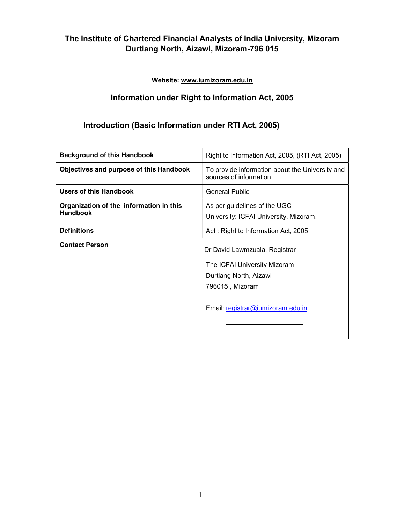Website: www.iumizoram.edu.in

# Information under Right to Information Act, 2005

# Introduction (Basic Information under RTI Act, 2005)

| <b>Background of this Handbook</b>                         | Right to Information Act, 2005, (RTI Act, 2005)                                                                                                   |
|------------------------------------------------------------|---------------------------------------------------------------------------------------------------------------------------------------------------|
| Objectives and purpose of this Handbook                    | To provide information about the University and<br>sources of information                                                                         |
| <b>Users of this Handbook</b>                              | <b>General Public</b>                                                                                                                             |
| Organization of the information in this<br><b>Handbook</b> | As per guidelines of the UGC<br>University: ICFAI University, Mizoram.                                                                            |
| <b>Definitions</b>                                         | Act: Right to Information Act, 2005                                                                                                               |
| <b>Contact Person</b>                                      | Dr David Lawmzuala, Registrar<br>The ICFAI University Mizoram<br>Durtlang North, Aizawl -<br>796015, Mizoram<br>Email: registrar@iumizoram.edu.in |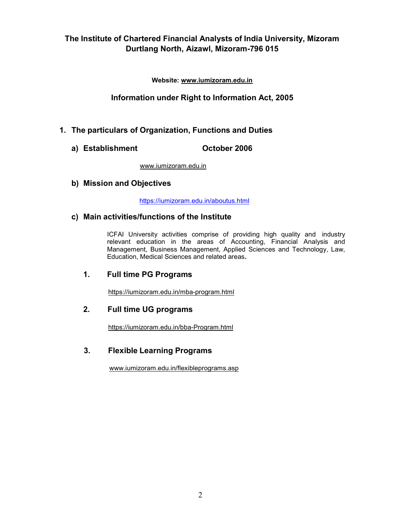Website: www.iumizoram.edu.in

### Information under Right to Information Act, 2005

### 1. The particulars of Organization, Functions and Duties

a) Establishment **October 2006** 

www.iumizoram.edu.in

#### b) Mission and Objectives

https://iumizoram.edu.in/aboutus.html

#### c) Main activities/functions of the Institute

ICFAI University activities comprise of providing high quality and industry relevant education in the areas of Accounting, Financial Analysis and Management, Business Management, Applied Sciences and Technology, Law, Education, Medical Sciences and related areas.

### 1. Full time PG Programs

https://iumizoram.edu.in/mba-program.html

### 2. Full time UG programs

https://iumizoram.edu.in/bba-Program.html

### 3. Flexible Learning Programs

www.iumizoram.edu.in/flexibleprograms.asp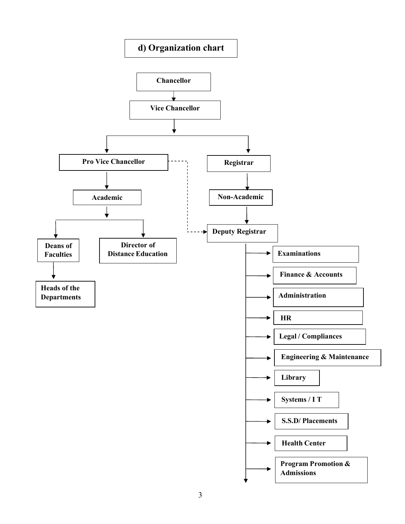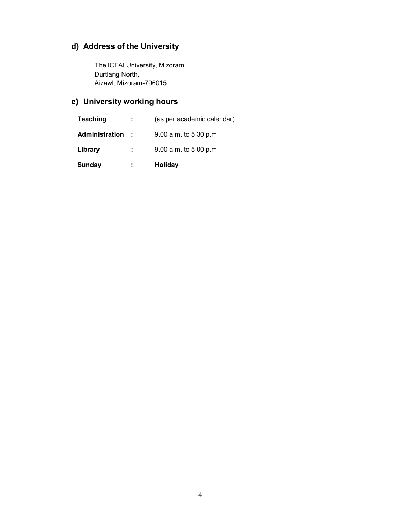# d) Address of the University

The ICFAI University, Mizoram Durtlang North, Aizawl, Mizoram-796015

# e) University working hours

| <b>Sunday</b>   | ÷    | Holiday                    |
|-----------------|------|----------------------------|
| Library         | ÷.   | 9.00 a.m. to 5.00 p.m.     |
| Administration  | - 11 | 9.00 a.m. to 5.30 p.m.     |
| <b>Teaching</b> |      | (as per academic calendar) |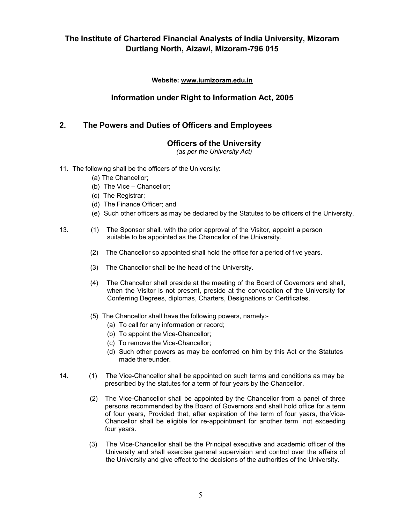Website: www.iumizoram.edu.in

### Information under Right to Information Act, 2005

### 2. The Powers and Duties of Officers and Employees

### Officers of the University

(as per the University Act)

#### 11. The following shall be the officers of the University:

- (a) The Chancellor;
- (b) The Vice Chancellor;
- (c) The Registrar;
- (d) The Finance Officer; and
- (e) Such other officers as may be declared by the Statutes to be officers of the University.
- 13. (1) The Sponsor shall, with the prior approval of the Visitor, appoint a person suitable to be appointed as the Chancellor of the University.
	- (2) The Chancellor so appointed shall hold the office for a period of five years.
	- (3) The Chancellor shall be the head of the University.
	- (4) The Chancellor shall preside at the meeting of the Board of Governors and shall, when the Visitor is not present, preside at the convocation of the University for Conferring Degrees, diplomas, Charters, Designations or Certificates.
	- (5) The Chancellor shall have the following powers, namely:-
		- (a) To call for any information or record;
		- (b) To appoint the Vice-Chancellor;
		- (c) To remove the Vice-Chancellor;
		- (d) Such other powers as may be conferred on him by this Act or the Statutes made thereunder.
- 14. (1) The Vice-Chancellor shall be appointed on such terms and conditions as may be prescribed by the statutes for a term of four years by the Chancellor.
	- (2) The Vice-Chancellor shall be appointed by the Chancellor from a panel of three persons recommended by the Board of Governors and shall hold office for a term of four years, Provided that, after expiration of the term of four years, the Vice-Chancellor shall be eligible for re-appointment for another term not exceeding four years.
	- (3) The Vice-Chancellor shall be the Principal executive and academic officer of the University and shall exercise general supervision and control over the affairs of the University and give effect to the decisions of the authorities of the University.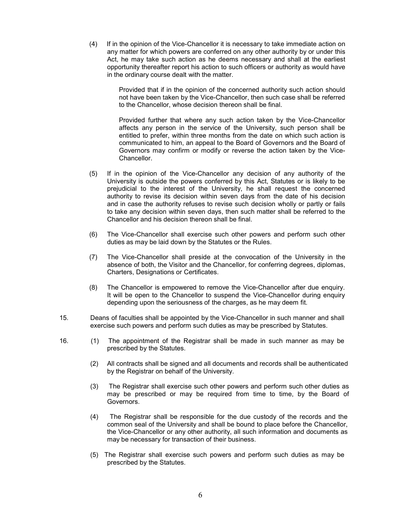(4) If in the opinion of the Vice-Chancellor it is necessary to take immediate action on any matter for which powers are conferred on any other authority by or under this Act, he may take such action as he deems necessary and shall at the earliest opportunity thereafter report his action to such officers or authority as would have in the ordinary course dealt with the matter.

> Provided that if in the opinion of the concerned authority such action should not have been taken by the Vice-Chancellor, then such case shall be referred to the Chancellor, whose decision thereon shall be final.

> Provided further that where any such action taken by the Vice-Chancellor affects any person in the service of the University, such person shall be entitled to prefer, within three months from the date on which such action is communicated to him, an appeal to the Board of Governors and the Board of Governors may confirm or modify or reverse the action taken by the Vice-Chancellor.

- (5) If in the opinion of the Vice-Chancellor any decision of any authority of the University is outside the powers conferred by this Act, Statutes or is likely to be prejudicial to the interest of the University, he shall request the concerned authority to revise its decision within seven days from the date of his decision and in case the authority refuses to revise such decision wholly or partly or fails to take any decision within seven days, then such matter shall be referred to the Chancellor and his decision thereon shall be final.
- (6) The Vice-Chancellor shall exercise such other powers and perform such other duties as may be laid down by the Statutes or the Rules.
- (7) The Vice-Chancellor shall preside at the convocation of the University in the absence of both, the Visitor and the Chancellor, for conferring degrees, diplomas, Charters, Designations or Certificates.
- (8) The Chancellor is empowered to remove the Vice-Chancellor after due enquiry. It will be open to the Chancellor to suspend the Vice-Chancellor during enquiry depending upon the seriousness of the charges, as he may deem fit.
- 15. Deans of faculties shall be appointed by the Vice-Chancellor in such manner and shall exercise such powers and perform such duties as may be prescribed by Statutes.
- 16. (1) The appointment of the Registrar shall be made in such manner as may be prescribed by the Statutes.
	- (2) All contracts shall be signed and all documents and records shall be authenticated by the Registrar on behalf of the University.
	- (3) The Registrar shall exercise such other powers and perform such other duties as may be prescribed or may be required from time to time, by the Board of Governors.
	- (4) The Registrar shall be responsible for the due custody of the records and the common seal of the University and shall be bound to place before the Chancellor, the Vice-Chancellor or any other authority, all such information and documents as may be necessary for transaction of their business.
	- (5) The Registrar shall exercise such powers and perform such duties as may be prescribed by the Statutes.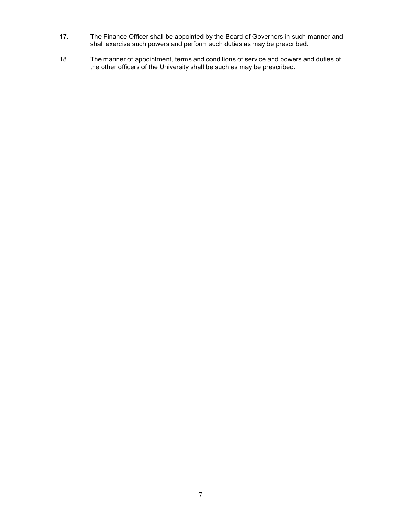- 17. The Finance Officer shall be appointed by the Board of Governors in such manner and shall exercise such powers and perform such duties as may be prescribed.
- 18. The manner of appointment, terms and conditions of service and powers and duties of the other officers of the University shall be such as may be prescribed.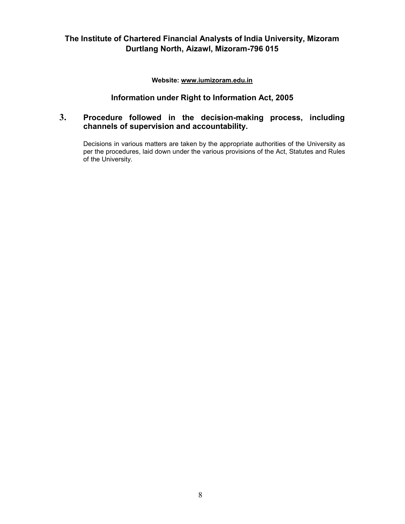Website: www.iumizoram.edu.in

### Information under Right to Information Act, 2005

### 3. Procedure followed in the decision-making process, including channels of supervision and accountability.

Decisions in various matters are taken by the appropriate authorities of the University as per the procedures, laid down under the various provisions of the Act, Statutes and Rules of the University.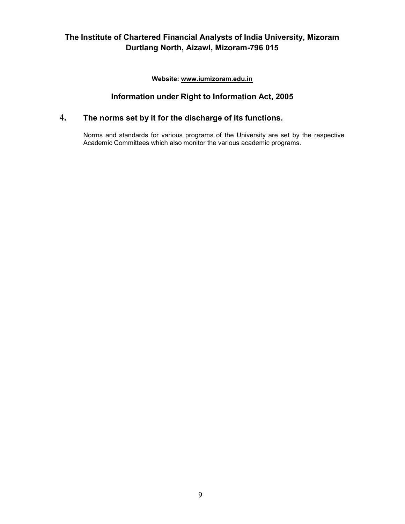Website: www.iumizoram.edu.in

# Information under Right to Information Act, 2005

# 4. The norms set by it for the discharge of its functions.

Norms and standards for various programs of the University are set by the respective Academic Committees which also monitor the various academic programs.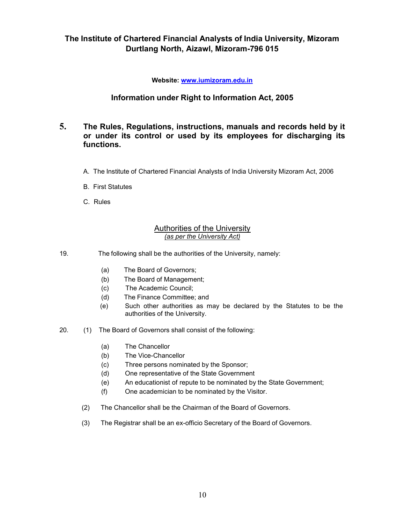Website: www.iumizoram.edu.in

## Information under Right to Information Act, 2005

#### 5. The Rules, Regulations, instructions, manuals and records held by it or under its control or used by its employees for discharging its functions.

- A. The Institute of Chartered Financial Analysts of India University Mizoram Act, 2006
- B. First Statutes
- C. Rules

#### Authorities of the University (as per the University Act)

19. The following shall be the authorities of the University, namely:

- (a) The Board of Governors;
- (b) The Board of Management;
- (c) The Academic Council;
- (d) The Finance Committee; and
- (e) Such other authorities as may be declared by the Statutes to be the authorities of the University.
- 20. (1) The Board of Governors shall consist of the following:
	- (a) The Chancellor
	- (b) The Vice-Chancellor
	- (c) Three persons nominated by the Sponsor;
	- (d) One representative of the State Government
	- (e) An educationist of repute to be nominated by the State Government;
	- (f) One academician to be nominated by the Visitor.
	- (2) The Chancellor shall be the Chairman of the Board of Governors.
	- (3) The Registrar shall be an ex-officio Secretary of the Board of Governors.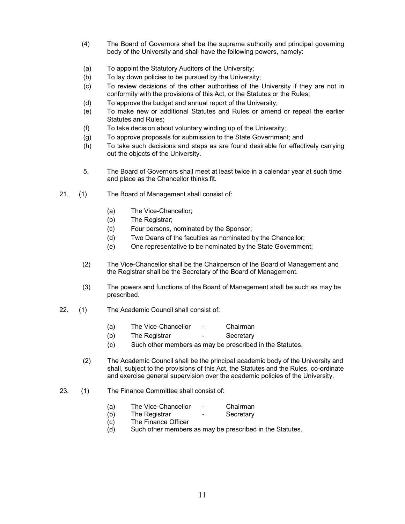- (4) The Board of Governors shall be the supreme authority and principal governing body of the University and shall have the following powers, namely:
- (a) To appoint the Statutory Auditors of the University;
- (b) To lay down policies to be pursued by the University;
- (c) To review decisions of the other authorities of the University if they are not in conformity with the provisions of this Act, or the Statutes or the Rules;
- (d) To approve the budget and annual report of the University;
- (e) To make new or additional Statutes and Rules or amend or repeal the earlier Statutes and Rules;
- (f) To take decision about voluntary winding up of the University;
- (g) To approve proposals for submission to the State Government; and
- (h) To take such decisions and steps as are found desirable for effectively carrying out the objects of the University.
- 5. The Board of Governors shall meet at least twice in a calendar year at such time and place as the Chancellor thinks fit.
- 21. (1) The Board of Management shall consist of:
	- (a) The Vice-Chancellor;
	- (b) The Registrar;
	- (c) Four persons, nominated by the Sponsor;
	- (d) Two Deans of the faculties as nominated by the Chancellor;
	- (e) One representative to be nominated by the State Government;
	- (2) The Vice-Chancellor shall be the Chairperson of the Board of Management and the Registrar shall be the Secretary of the Board of Management.
	- (3) The powers and functions of the Board of Management shall be such as may be prescribed.
- 22. (1) The Academic Council shall consist of:
	- (a) The Vice-Chancellor Chairman
	- (b) The Registrar Secretary
	- (c) Such other members as may be prescribed in the Statutes.
	- (2) The Academic Council shall be the principal academic body of the University and shall, subject to the provisions of this Act, the Statutes and the Rules, co-ordinate and exercise general supervision over the academic policies of the University.
- 23. (1) The Finance Committee shall consist of:
	- (a) The Vice-Chancellor Chairman
	- (b) The Registrar Secretary
	- (c) The Finance Officer
	- (d) Such other members as may be prescribed in the Statutes.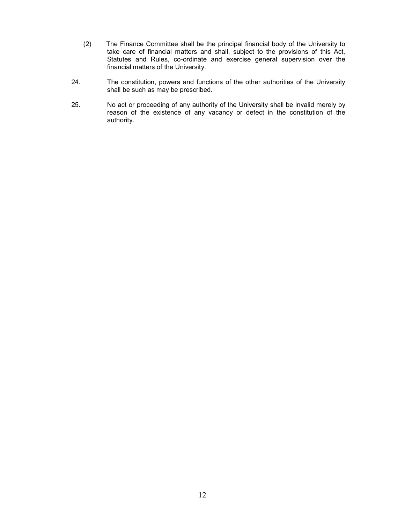- (2) The Finance Committee shall be the principal financial body of the University to take care of financial matters and shall, subject to the provisions of this Act, Statutes and Rules, co-ordinate and exercise general supervision over the financial matters of the University.
- 24. The constitution, powers and functions of the other authorities of the University shall be such as may be prescribed.
- 25. No act or proceeding of any authority of the University shall be invalid merely by reason of the existence of any vacancy or defect in the constitution of the authority.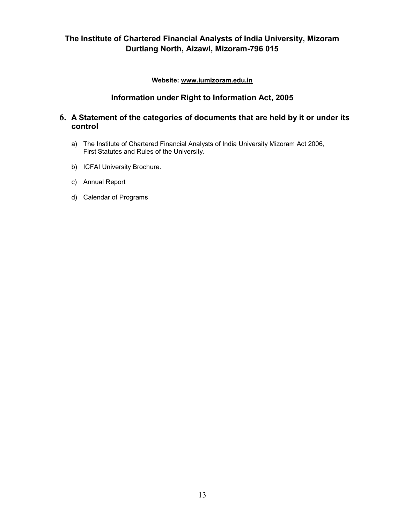Website: www.iumizoram.edu.in

# Information under Right to Information Act, 2005

#### 6. A Statement of the categories of documents that are held by it or under its control

- a) The Institute of Chartered Financial Analysts of India University Mizoram Act 2006, First Statutes and Rules of the University.
- b) ICFAI University Brochure.
- c) Annual Report
- d) Calendar of Programs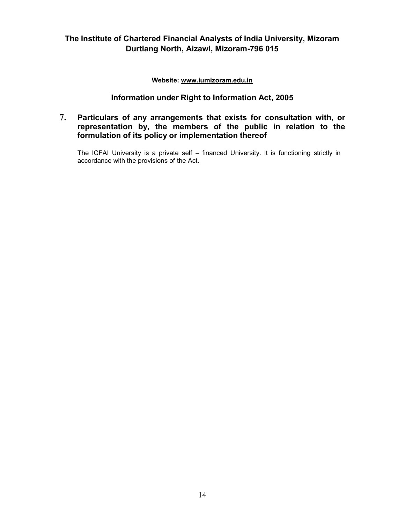Website: www.iumizoram.edu.in

## Information under Right to Information Act, 2005

### 7. Particulars of any arrangements that exists for consultation with, or representation by, the members of the public in relation to the formulation of its policy or implementation thereof

The ICFAI University is a private self – financed University. It is functioning strictly in accordance with the provisions of the Act.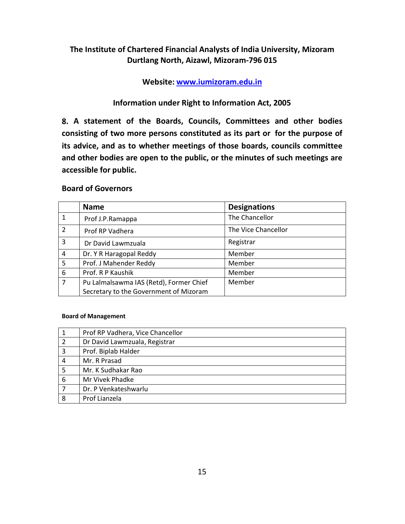Website: www.iumizoram.edu.in

## Information under Right to Information Act, 2005

8. A statement of the Boards, Councils, Committees and other bodies consisting of two more persons constituted as its part or for the purpose of its advice, and as to whether meetings of those boards, councils committee and other bodies are open to the public, or the minutes of such meetings are accessible for public.

#### Board of Governors

|                | <b>Name</b>                             | <b>Designations</b> |
|----------------|-----------------------------------------|---------------------|
|                | Prof J.P.Ramappa                        | The Chancellor      |
| $\overline{2}$ | Prof RP Vadhera                         | The Vice Chancellor |
| 3              | Dr David Lawmzuala                      | Registrar           |
| 4              | Dr. Y R Haragopal Reddy                 | Member              |
| 5              | Prof. J Mahender Reddy                  | Member              |
| 6              | Prof. R P Kaushik                       | Member              |
| 7              | Pu Lalmalsawma IAS (Retd), Former Chief | Member              |
|                | Secretary to the Government of Mizoram  |                     |

#### Board of Management

|                | Prof RP Vadhera, Vice Chancellor |
|----------------|----------------------------------|
| $\overline{2}$ | Dr David Lawmzuala, Registrar    |
| 3              | Prof. Biplab Halder              |
| 4              | Mr. R Prasad                     |
| 5              | Mr. K Sudhakar Rao               |
| 6              | Mr Vivek Phadke                  |
| 7              | Dr. P Venkateshwarlu             |
| 8              | Prof Lianzela                    |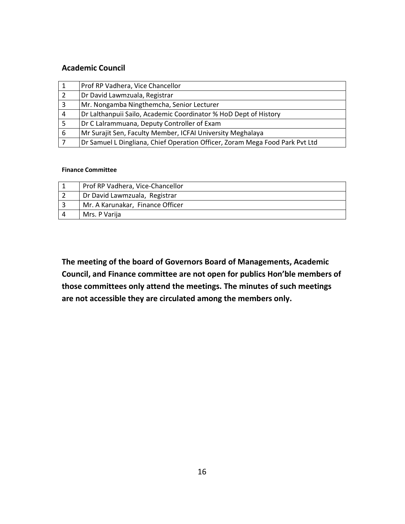#### Academic Council

|   | Prof RP Vadhera, Vice Chancellor                                             |
|---|------------------------------------------------------------------------------|
| 2 | Dr David Lawmzuala, Registrar                                                |
|   | Mr. Nongamba Ningthemcha, Senior Lecturer                                    |
| 4 | Dr Lalthanpuii Sailo, Academic Coordinator % HoD Dept of History             |
|   | Dr C Lalrammuana, Deputy Controller of Exam                                  |
| 6 | Mr Surajit Sen, Faculty Member, ICFAI University Meghalaya                   |
|   | Dr Samuel L Dingliana, Chief Operation Officer, Zoram Mega Food Park Pvt Ltd |

#### Finance Committee

| Prof RP Vadhera, Vice-Chancellor |
|----------------------------------|
| Dr David Lawmzuala, Registrar    |
| Mr. A Karunakar, Finance Officer |
| Mrs. P Varija                    |

The meeting of the board of Governors Board of Managements, Academic Council, and Finance committee are not open for publics Hon'ble members of those committees only attend the meetings. The minutes of such meetings are not accessible they are circulated among the members only.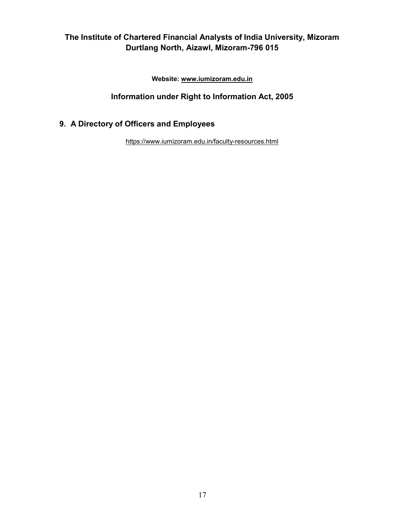Website: www.iumizoram.edu.in

# Information under Right to Information Act, 2005

# 9. A Directory of Officers and Employees

https://www.iumizoram.edu.in/faculty-resources.html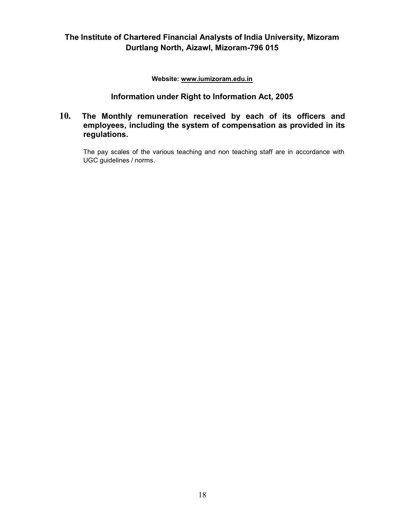Website: www.iumizoram.edu.in

#### Information under Right to Information Act, 2005

#### 10. The Monthly remuneration received by each of its officers and employees, including the system of compensation as provided in its regulations.

The pay scales of the various teaching and non teaching staff are in accordance with UGC guidelines / norms.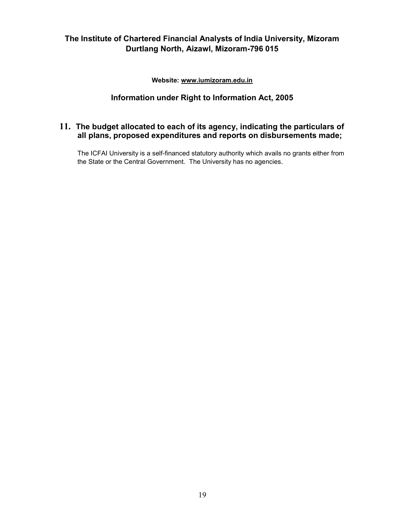Website: www.iumizoram.edu.in

# Information under Right to Information Act, 2005

# 11. The budget allocated to each of its agency, indicating the particulars of all plans, proposed expenditures and reports on disbursements made;

The ICFAI University is a self-financed statutory authority which avails no grants either from the State or the Central Government. The University has no agencies.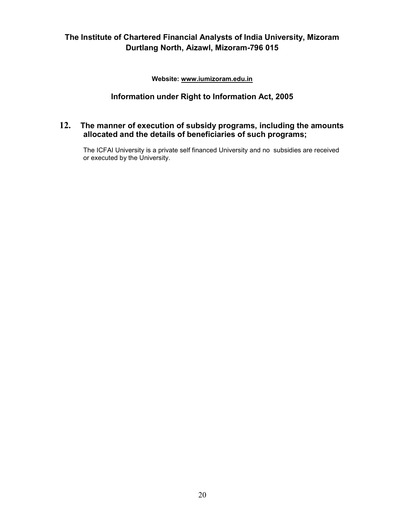Website: www.iumizoram.edu.in

# Information under Right to Information Act, 2005

## 12. The manner of execution of subsidy programs, including the amounts allocated and the details of beneficiaries of such programs;

The ICFAI University is a private self financed University and no subsidies are received or executed by the University.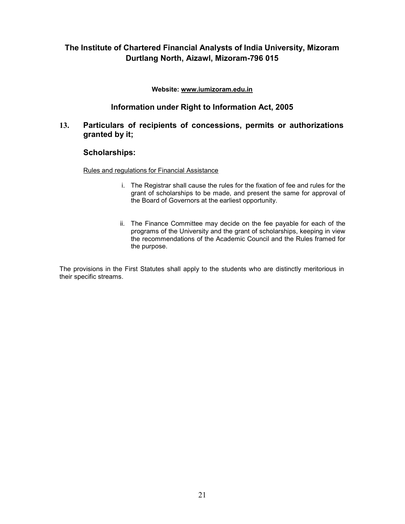#### Website: www.iumizoram.edu.in

#### Information under Right to Information Act, 2005

#### 13. Particulars of recipients of concessions, permits or authorizations granted by it;

#### Scholarships:

Rules and regulations for Financial Assistance

- i. The Registrar shall cause the rules for the fixation of fee and rules for the grant of scholarships to be made, and present the same for approval of the Board of Governors at the earliest opportunity.
- ii. The Finance Committee may decide on the fee payable for each of the programs of the University and the grant of scholarships, keeping in view the recommendations of the Academic Council and the Rules framed for the purpose.

The provisions in the First Statutes shall apply to the students who are distinctly meritorious in their specific streams.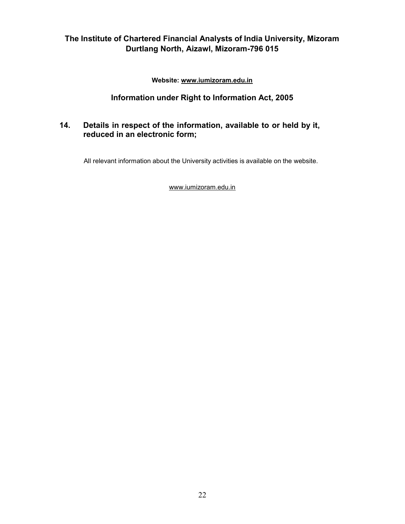Website: www.iumizoram.edu.in

# Information under Right to Information Act, 2005

## 14. Details in respect of the information, available to or held by it, reduced in an electronic form;

All relevant information about the University activities is available on the website.

www.iumizoram.edu.in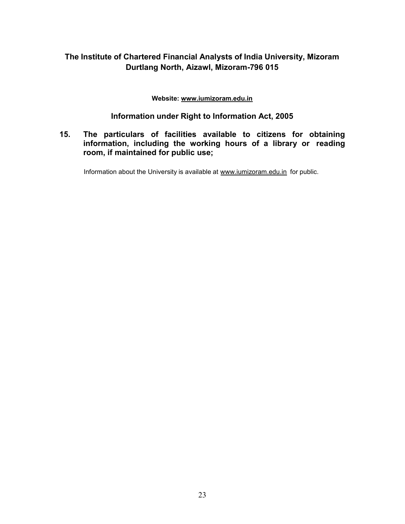#### Website: www.iumizoram.edu.in

## Information under Right to Information Act, 2005

## 15. The particulars of facilities available to citizens for obtaining information, including the working hours of a library or reading room, if maintained for public use;

Information about the University is available at www.iumizoram.edu.in for public.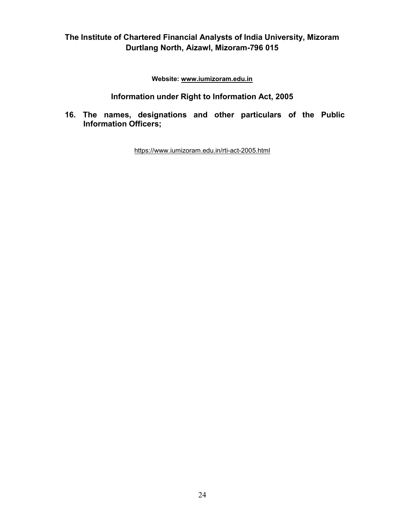Website: www.iumizoram.edu.in

## Information under Right to Information Act, 2005

16. The names, designations and other particulars of the Public Information Officers;

https://www.iumizoram.edu.in/rti-act-2005.html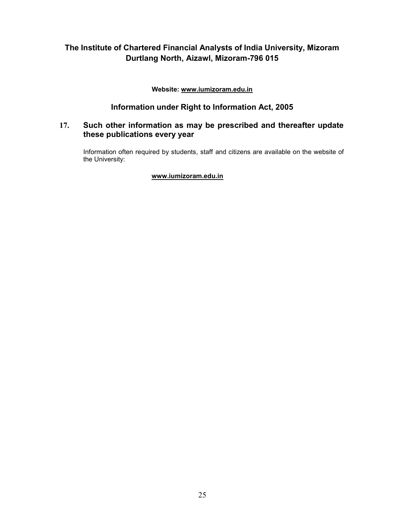Website: www.iumizoram.edu.in

## Information under Right to Information Act, 2005

## 17. Such other information as may be prescribed and thereafter update these publications every year

Information often required by students, staff and citizens are available on the website of the University:

#### www.iumizoram.edu.in